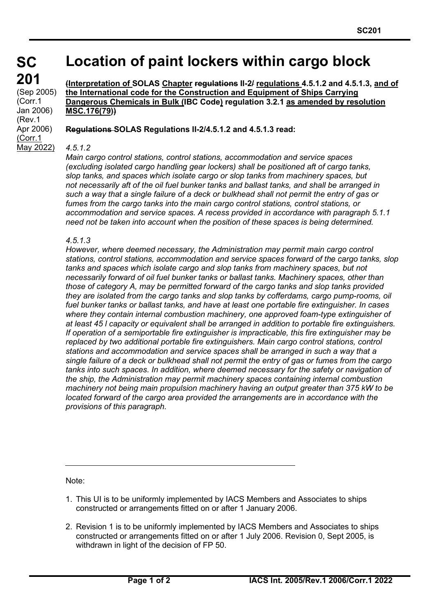**SC 201** (Sep 2005) (Corr.1 Jan 2006) (Rev.1 Apr 2006) (Corr.1 May 2022)

# **Location of paint lockers within cargo block**

**(Interpretation of SOLAS Chapter regulations II-2/ regulations 4.5.1.2 and 4.5.1.3, and of the International code for the Construction and Equipment of Ships Carrying Dangerous Chemicals in Bulk (IBC Code) regulation 3.2.1 as amended by resolution MSC.176(79))**

**Regulations SOLAS Regulations II-2/4.5.1.2 and 4.5.1.3 read:**

### *4.5.1.2*

*Main cargo control stations, control stations, accommodation and service spaces (excluding isolated cargo handling gear lockers) shall be positioned aft of cargo tanks, slop tanks, and spaces which isolate cargo or slop tanks from machinery spaces, but not necessarily aft of the oil fuel bunker tanks and ballast tanks, and shall be arranged in such a way that a single failure of a deck or bulkhead shall not permit the entry of gas or fumes from the cargo tanks into the main cargo control stations, control stations, or accommodation and service spaces. A recess provided in accordance with paragraph 5.1.1 need not be taken into account when the position of these spaces is being determined.*

### *4.5.1.3*

*However, where deemed necessary, the Administration may permit main cargo control stations, control stations, accommodation and service spaces forward of the cargo tanks, slop*  tanks and spaces which isolate cargo and slop tanks from machinery spaces, but not *necessarily forward of oil fuel bunker tanks or ballast tanks. Machinery spaces, other than those of category A, may be permitted forward of the cargo tanks and slop tanks provided they are isolated from the cargo tanks and slop tanks by cofferdams, cargo pump-rooms, oil fuel bunker tanks or ballast tanks, and have at least one portable fire extinguisher. In cases where they contain internal combustion machinery, one approved foam-type extinguisher of at least 45 l capacity or equivalent shall be arranged in addition to portable fire extinguishers. If operation of a semiportable fire extinguisher is impracticable, this fire extinguisher may be replaced by two additional portable fire extinguishers. Main cargo control stations, control stations and accommodation and service spaces shall be arranged in such a way that a single failure of a deck or bulkhead shall not permit the entry of gas or fumes from the cargo tanks into such spaces. In addition, where deemed necessary for the safety or navigation of the ship, the Administration may permit machinery spaces containing internal combustion machinery not being main propulsion machinery having an output greater than 375 kW to be located forward of the cargo area provided the arrangements are in accordance with the provisions of this paragraph.*

Note:

- 1. This UI is to be uniformly implemented by IACS Members and Associates to ships constructed or arrangements fitted on or after 1 January 2006.
- 2. Revision 1 is to be uniformly implemented by IACS Members and Associates to ships constructed or arrangements fitted on or after 1 July 2006. Revision 0, Sept 2005, is withdrawn in light of the decision of FP 50.